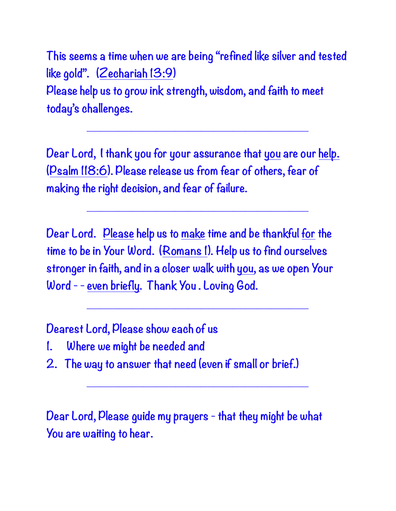**This seems a time when we are being "refined like silver and tested like gold". (Zechariah 13:9) Please help us to grow ink strength, wisdom, and faith to meet today's challenges.**

**\_\_\_\_\_\_\_\_\_\_\_\_\_\_\_\_\_\_\_\_\_\_\_\_\_\_\_\_\_\_\_\_\_\_\_**

**Dear Lord, I thank you for your assurance that you are our help. (Psalm 118:6). Please release us from fear of others, fear of making the right decision, and fear of failure.**

**\_\_\_\_\_\_\_\_\_\_\_\_\_\_\_\_\_\_\_\_\_\_\_\_\_\_\_\_\_\_\_\_\_\_\_**

**Dear Lord. Please help us to make time and be thankful for the time to be in Your Word. (Romans 1). Help us to find ourselves stronger in faith, and in a closer walk with you, as we open Your Word - - even briefly. Thank You . Loving God.**

**\_\_\_\_\_\_\_\_\_\_\_\_\_\_\_\_\_\_\_\_\_\_\_\_\_\_\_\_\_\_\_\_\_\_\_**

**\_\_\_\_\_\_\_\_\_\_\_\_\_\_\_\_\_\_\_\_\_\_\_\_\_\_\_\_\_\_\_\_\_\_\_**

**Dearest Lord, Please show each of us** 

- **1. Where we might be needed and**
- **2. The way to answer that need (even if small or brief.)**

**Dear Lord, Please guide my prayers - that they might be what You are waiting to hear.**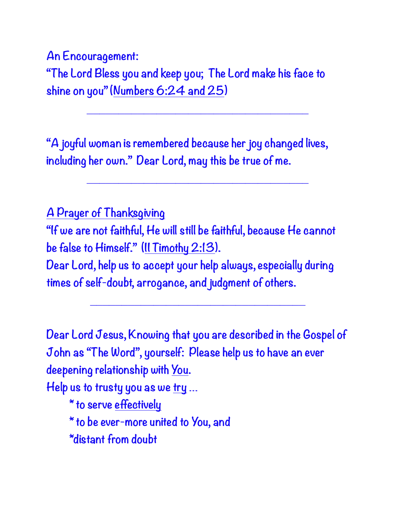**An Encouragement:**

**"The Lord Bless you and keep you; The Lord make his face to shine on you" (Numbers 6:24 and 25)**

**\_\_\_\_\_\_\_\_\_\_\_\_\_\_\_\_\_\_\_\_\_\_\_\_\_\_\_\_\_\_\_\_\_\_\_**

**\_\_\_\_\_\_\_\_\_\_\_\_\_\_\_\_\_\_\_\_\_\_\_\_\_\_\_\_\_\_\_\_\_\_\_**

**"A joyful woman is remembered because her joy changed lives, including her own." Dear Lord, may this be true of me.**

**A Prayer of Thanksgiving "If we are not faithful, He will still be faithful, because He cannot be false to Himself." (II Timothy 2:13). Dear Lord, help us to accept your help always, especially during times of self-doubt, arrogance, and judgment of others.** 

**\_\_\_\_\_\_\_\_\_\_\_\_\_\_\_\_\_\_\_\_\_\_\_\_\_\_\_\_\_\_\_\_\_\_**

**Dear Lord Jesus, Knowing that you are described in the Gospel of John as "The Word", yourself: Please help us to have an ever deepening relationship with You. Help us to trusty you as we try … \* to serve effectively \* to be ever-more united to You, and \*distant from doubt**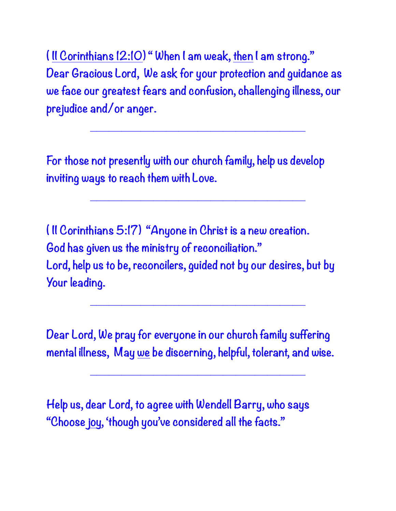**( II Corinthians 12:10) " When I am weak, then I am strong." Dear Gracious Lord, We ask for your protection and guidance as we face our greatest fears and confusion, challenging illness, our prejudice and/or anger.**

**\_\_\_\_\_\_\_\_\_\_\_\_\_\_\_\_\_\_\_\_\_\_\_\_\_\_\_\_\_\_\_\_\_\_**

**\_\_\_\_\_\_\_\_\_\_\_\_\_\_\_\_\_\_\_\_\_\_\_\_\_\_\_\_\_\_\_\_\_\_**

**For those not presently with our church family, help us develop inviting ways to reach them with Love.**

**( II Corinthians 5:17) "Anyone in Christ is a new creation. God has given us the ministry of reconciliation." Lord, help us to be, reconcilers, guided not by our desires, but by Your leading.**

**\_\_\_\_\_\_\_\_\_\_\_\_\_\_\_\_\_\_\_\_\_\_\_\_\_\_\_\_\_\_\_\_\_\_**

**Dear Lord, We pray for everyone in our church family suffering mental illness, May we be discerning, helpful, tolerant, and wise.**

**\_\_\_\_\_\_\_\_\_\_\_\_\_\_\_\_\_\_\_\_\_\_\_\_\_\_\_\_\_\_\_\_\_\_**

**Help us, dear Lord, to agree with Wendell Barry, who says "Choose joy, 'though you've considered all the facts."**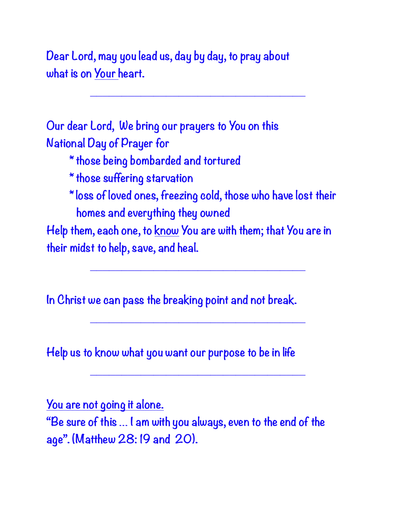**Dear Lord, may you lead us, day by day, to pray about what is on Your heart.**

**Our dear Lord, We bring our prayers to You on this National Day of Prayer for**

- **\* those being bombarded and tortured**
- **\* those suffering starvation**
- **\* loss of loved ones, freezing cold, those who have lost their homes and everything they owned**

**\_\_\_\_\_\_\_\_\_\_\_\_\_\_\_\_\_\_\_\_\_\_\_\_\_\_\_\_\_\_\_\_\_\_**

**Help them, each one, to know You are with them; that You are in their midst to help, save, and heal.**

**\_\_\_\_\_\_\_\_\_\_\_\_\_\_\_\_\_\_\_\_\_\_\_\_\_\_\_\_\_\_\_\_\_\_**

**\_\_\_\_\_\_\_\_\_\_\_\_\_\_\_\_\_\_\_\_\_\_\_\_\_\_\_\_\_\_\_\_\_\_**

**\_\_\_\_\_\_\_\_\_\_\_\_\_\_\_\_\_\_\_\_\_\_\_\_\_\_\_\_\_\_\_\_\_\_**

**In Christ we can pass the breaking point and not break.**

**Help us to know what you want our purpose to be in life**

**You are not going it alone.**

**"Be sure of this … I am with you always, even to the end of the age". (Matthew 28: 19 and 20).**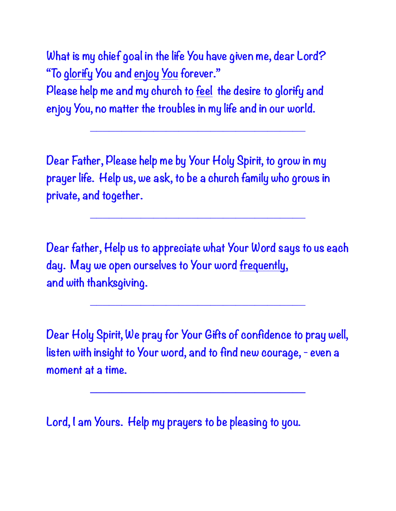**What is my chief goal in the life You have given me, dear Lord? "To glorify You and enjoy You forever." Please help me and my church to feel the desire to glorify and enjoy You, no matter the troubles in my life and in our world.**

**Dear Father, Please help me by Your Holy Spirit, to grow in my prayer life. Help us, we ask, to be a church family who grows in private, and together.**

**\_\_\_\_\_\_\_\_\_\_\_\_\_\_\_\_\_\_\_\_\_\_\_\_\_\_\_\_\_\_\_\_\_\_**

**Dear father, Help us to appreciate what Your Word says to us each day. May we open ourselves to Your word frequently, and with thanksgiving.**

**\_\_\_\_\_\_\_\_\_\_\_\_\_\_\_\_\_\_\_\_\_\_\_\_\_\_\_\_\_\_\_\_\_\_**

**\_\_\_\_\_\_\_\_\_\_\_\_\_\_\_\_\_\_\_\_\_\_\_\_\_\_\_\_\_\_\_\_\_\_**

**Dear Holy Spirit, We pray for Your Gifts of confidence to pray well, listen with insight to Your word, and to find new courage, - even a moment at a time.**

**\_\_\_\_\_\_\_\_\_\_\_\_\_\_\_\_\_\_\_\_\_\_\_\_\_\_\_\_\_\_\_\_\_\_**

**Lord, I am Yours. Help my prayers to be pleasing to you.**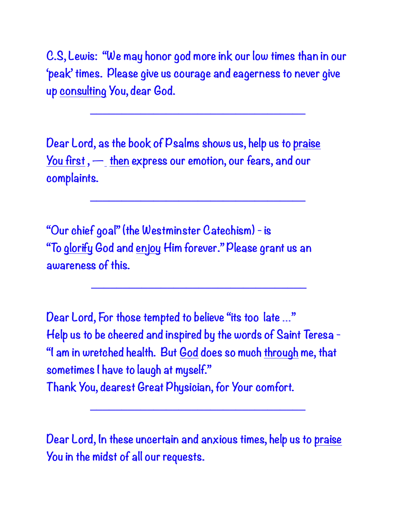**C.S, Lewis: "We may honor god more ink our low times than in our 'peak' times. Please give us courage and eagerness to never give up consulting You, dear God.**

**\_\_\_\_\_\_\_\_\_\_\_\_\_\_\_\_\_\_\_\_\_\_\_\_\_\_\_\_\_\_\_\_\_\_**

**\_\_\_\_\_\_\_\_\_\_\_\_\_\_\_\_\_\_\_\_\_\_\_\_\_\_\_\_\_\_\_\_\_\_**

**\_\_\_\_\_\_\_\_\_\_\_\_\_\_\_\_\_\_\_\_\_\_\_\_\_\_\_\_\_\_\_\_\_\_**

**Dear Lord, as the book of Psalms shows us, help us to praise You first , — then express our emotion, our fears, and our complaints.**

**"Our chief goal" (the Westminster Catechism) - is "To glorify God and enjoy Him forever." Please grant us an awareness of this.** 

**Dear Lord, For those tempted to believe "its too late …" Help us to be cheered and inspired by the words of Saint Teresa - "I am in wretched health. But God does so much through me, that sometimes I have to laugh at myself." Thank You, dearest Great Physician, for Your comfort.**

**Dear Lord, In these uncertain and anxious times, help us to praise You in the midst of all our requests.**

**\_\_\_\_\_\_\_\_\_\_\_\_\_\_\_\_\_\_\_\_\_\_\_\_\_\_\_\_\_\_\_\_\_\_**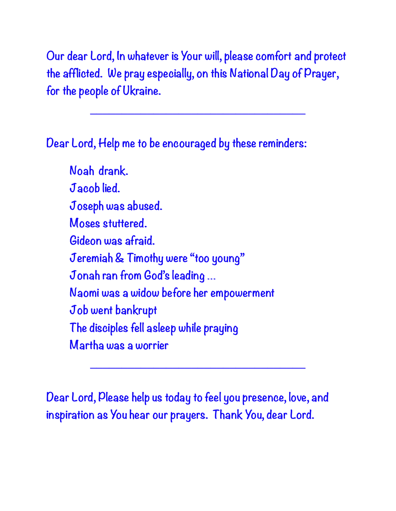**Our dear Lord, In whatever is Your will, please comfort and protect the afflicted. We pray especially, on this National Day of Prayer, for the people of Ukraine.**

**\_\_\_\_\_\_\_\_\_\_\_\_\_\_\_\_\_\_\_\_\_\_\_\_\_\_\_\_\_\_\_\_\_\_**

**Dear Lord, Help me to be encouraged by these reminders:**

 **Noah drank. Jacob lied. Joseph was abused. Moses stuttered. Gideon was afraid. Jeremiah & Timothy were "too young" Jonah ran from God's leading … Naomi was a widow before her empowerment Job went bankrupt The disciples fell asleep while praying Martha was a worrier**

**Dear Lord, Please help us today to feel you presence, love, and inspiration as You hear our prayers. Thank You, dear Lord.**

**\_\_\_\_\_\_\_\_\_\_\_\_\_\_\_\_\_\_\_\_\_\_\_\_\_\_\_\_\_\_\_\_\_\_**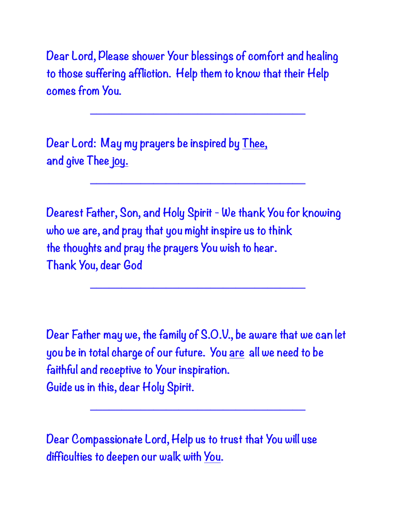**Dear Lord, Please shower Your blessings of comfort and healing to those suffering affliction. Help them to know that their Help comes from You.**

**\_\_\_\_\_\_\_\_\_\_\_\_\_\_\_\_\_\_\_\_\_\_\_\_\_\_\_\_\_\_\_\_\_\_**

**\_\_\_\_\_\_\_\_\_\_\_\_\_\_\_\_\_\_\_\_\_\_\_\_\_\_\_\_\_\_\_\_\_\_**

**Dear Lord: May my prayers be inspired by Thee, and give Thee joy.**

**Dearest Father, Son, and Holy Spirit - We thank You for knowing who we are, and pray that you might inspire us to think the thoughts and pray the prayers You wish to hear. Thank You, dear God**

**\_\_\_\_\_\_\_\_\_\_\_\_\_\_\_\_\_\_\_\_\_\_\_\_\_\_\_\_\_\_\_\_\_\_**

**Dear Father may we, the family of S.O.V., be aware that we can let you be in total charge of our future. You are all we need to be faithful and receptive to Your inspiration. Guide us in this, dear Holy Spirit.**

**\_\_\_\_\_\_\_\_\_\_\_\_\_\_\_\_\_\_\_\_\_\_\_\_\_\_\_\_\_\_\_\_\_\_**

**Dear Compassionate Lord, Help us to trust that You will use difficulties to deepen our walk with You.**